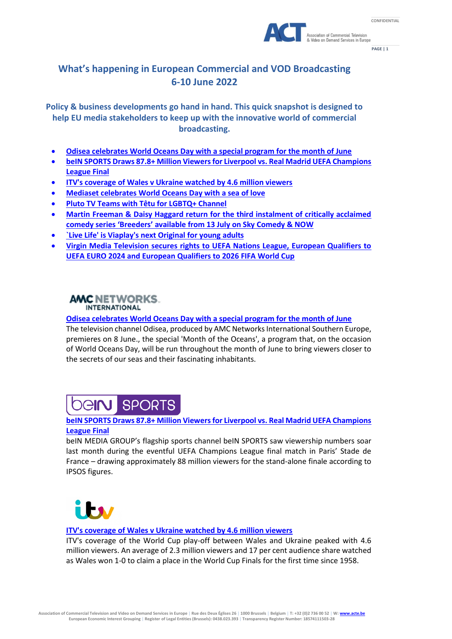



**PAGE | 1**

# **What's happening in European Commercial and VOD Broadcasting 6-10 June 2022**

**Policy & business developments go hand in hand. This quick snapshot is designed to help EU media stakeholders to keep up with the innovative world of commercial broadcasting.**

- **Odisea [celebrates World Oceans Day with a special program for the month of June](https://amcnetworks.es/noticias/canal-odisea/odisea-celebra-el-dia-mundial-de-los-oceanos-con-una-programacion-especial-para-el-mes-de-junio/)**
- **[beIN SPORTS Draws 87.8+ Million Viewers for Liverpool vs. Real Madrid UEFA Champions](https://www.beinmediagroup.com/article/bein-sports-draws-87-8-million-viewers-for-liverpool-vs-real-madrid-uefa-champions-league-final/)  [League Final](https://www.beinmediagroup.com/article/bein-sports-draws-87-8-million-viewers-for-liverpool-vs-real-madrid-uefa-champions-league-final/)**
- **[ITV's coverage of Wales v Ukraine watched by 4.6 million viewers](https://www.itv.com/presscentre/press-releases/itvs-coverage-wales-v-ukraine-watched-46-million-viewers)**
- **[Mediaset celebrates World Oceans Day with a sea of love](https://www.tgcom24.mediaset.it/televisione/l-oceano-merita-un-mare-d-amore-mediaset-in-prima-linea-per-tutelare-l-ambiente-marino_51089092-202202k.shtml)**
- **[Pluto TV Teams with Têtu for LGBTQ+ Channel](https://worldscreen.com/tveurope/2022/05/31/pluto-tv-teams-with-tetu-for-lgbtq-channel/)**
- **[Martin Freeman & Daisy Haggard return for the third instalment of critically acclaimed](https://www.skygroup.sky/en-gb/article/martin-freeman-and-daisy-haggard-return-for-the-third-instalment-of-critically-acclaimed-comedy-series-breeders-available-from-13-july-on-sky-comedy-now)  comedy series 'Breeders' [available from 13 July on Sky Comedy & NOW](https://www.skygroup.sky/en-gb/article/martin-freeman-and-daisy-haggard-return-for-the-third-instalment-of-critically-acclaimed-comedy-series-breeders-available-from-13-july-on-sky-comedy-now)**
- **[`Live Life' is Viaplay's next Original for young adults](https://www.viaplaygroup.com/news/news-releases/live-life-viaplays-next-original-young-adults-2027861)**
- **[Virgin Media Television secures rights to UEFA Nations League, European Qualifiers to](https://www.virginmedia.ie/about-us/press/2022/virgin-media-television-secures-rights/)  [UEFA EURO 2024 and European Qualifiers to 2026 FIFA World Cup](https://www.virginmedia.ie/about-us/press/2022/virgin-media-television-secures-rights/)**

# **AMC NETWORKS. INTERNATIONAL**

# **Odisea [celebrates World Oceans Day with a special program for the month of June](https://amcnetworks.es/noticias/canal-odisea/odisea-celebra-el-dia-mundial-de-los-oceanos-con-una-programacion-especial-para-el-mes-de-junio/)**

The television channel Odisea, produced by AMC Networks International Southern Europe, premieres on 8 June., the special 'Month of the Oceans', a program that, on the occasion of World Oceans Day, will be run throughout the month of June to bring viewers closer to the secrets of our seas and their fascinating inhabitants.

### **SPORTS** De**iru l**

# **[beIN SPORTS Draws 87.8+ Million Viewers for Liverpool vs. Real Madrid UEFA Champions](https://www.beinmediagroup.com/article/bein-sports-draws-87-8-million-viewers-for-liverpool-vs-real-madrid-uefa-champions-league-final/)  [League Final](https://www.beinmediagroup.com/article/bein-sports-draws-87-8-million-viewers-for-liverpool-vs-real-madrid-uefa-champions-league-final/)**

beIN MEDIA GROUP's flagship sports channel beIN SPORTS saw viewership numbers soar last month during the eventful UEFA Champions League final match in Paris' Stade de France – drawing approximately 88 million viewers for the stand-alone finale according to IPSOS figures.



### **[ITV's coverage of Wales v Ukraine watched by 4.6 million viewers](https://www.itv.com/presscentre/press-releases/itvs-coverage-wales-v-ukraine-watched-46-million-viewers)**

ITV's coverage of the World Cup play-off between Wales and Ukraine peaked with 4.6 million viewers. An average of 2.3 million viewers and 17 per cent audience share watched as Wales won 1-0 to claim a place in the World Cup Finals for the first time since 1958.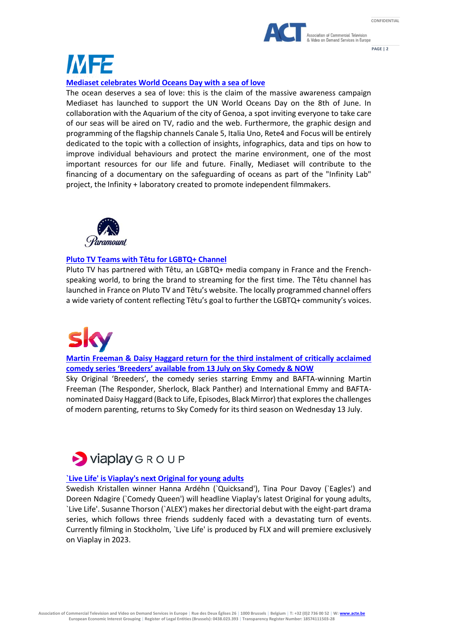



**PAGE | 2**

# IM 72

# **[Mediaset celebrates World Oceans Day with a sea of love](https://www.tgcom24.mediaset.it/televisione/l-oceano-merita-un-mare-d-amore-mediaset-in-prima-linea-per-tutelare-l-ambiente-marino_51089092-202202k.shtml)**

The ocean deserves a sea of love: this is the claim of the massive awareness campaign Mediaset has launched to support the UN World Oceans Day on the 8th of June. In collaboration with the Aquarium of the city of Genoa, a spot inviting everyone to take care of our seas will be aired on TV, radio and the web. Furthermore, the graphic design and programming of the flagship channels Canale 5, Italia Uno, Rete4 and Focus will be entirely dedicated to the topic with a collection of insights, infographics, data and tips on how to improve individual behaviours and protect the marine environment, one of the most important resources for our life and future. Finally, Mediaset will contribute to the financing of a documentary on the safeguarding of oceans as part of the "Infinity Lab" project, the Infinity + laboratory created to promote independent filmmakers.



# **[Pluto TV Teams with Têtu for LGBTQ+ Channel](https://worldscreen.com/tveurope/2022/05/31/pluto-tv-teams-with-tetu-for-lgbtq-channel/)**

Pluto TV has partnered with Têtu, an LGBTQ+ media company in France and the Frenchspeaking world, to bring the brand to streaming for the first time. The Têtu channel has launched in France on Pluto TV and Têtu's website. The locally programmed channel offers a wide variety of content reflecting Têtu's goal to further the LGBTQ+ community's voices.

**[Martin Freeman & Daisy Haggard return for the third instalment of critically acclaimed](https://www.skygroup.sky/en-gb/article/martin-freeman-and-daisy-haggard-return-for-the-third-instalment-of-critically-acclaimed-comedy-series-breeders-available-from-13-july-on-sky-comedy-now)  comedy series 'Breeders' [available from 13 July on Sky Comedy & NOW](https://www.skygroup.sky/en-gb/article/martin-freeman-and-daisy-haggard-return-for-the-third-instalment-of-critically-acclaimed-comedy-series-breeders-available-from-13-july-on-sky-comedy-now)**

Sky Original 'Breeders', the comedy series starring Emmy and BAFTA-winning Martin Freeman (The Responder, Sherlock, Black Panther) and International Emmy and BAFTAnominated Daisy Haggard (Back to Life, Episodes, Black Mirror) that explores the challenges of modern parenting, returns to Sky Comedy for its third season on Wednesday 13 July.



# **[`Live Life' is Viaplay's next Original for young adults](https://www.viaplaygroup.com/news/news-releases/live-life-viaplays-next-original-young-adults-2027861)**

Swedish Kristallen winner Hanna Ardéhn (`Quicksand'), Tina Pour Davoy (`Eagles') and Doreen Ndagire (`Comedy Queen') will headline Viaplay's latest Original for young adults, `Live Life'. Susanne Thorson (`ALEX') makes her directorial debut with the eight-part drama series, which follows three friends suddenly faced with a devastating turn of events. Currently filming in Stockholm, `Live Life' is produced by FLX and will premiere exclusively on Viaplay in 2023.